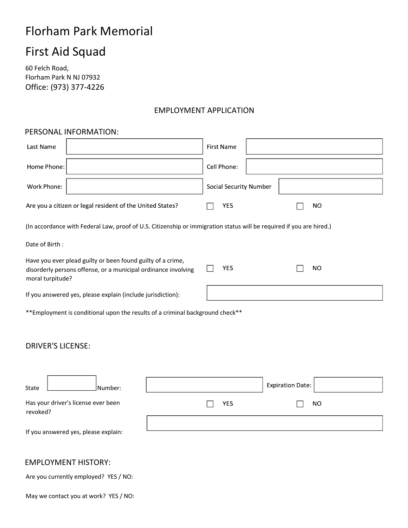# Florham Park Memorial

# First Aid Squad

60 Felch Road, Florham Park N NJ 07932 Office: (973) 377-4226

# EMPLOYMENT APPLICATION

## PERSONAL INFORMATION:

| Last Name                                                                                                                                         | <b>First Name</b>             |
|---------------------------------------------------------------------------------------------------------------------------------------------------|-------------------------------|
| Home Phone:                                                                                                                                       | Cell Phone:                   |
| Work Phone:                                                                                                                                       | <b>Social Security Number</b> |
| Are you a citizen or legal resident of the United States?                                                                                         | <b>YES</b><br><b>NO</b>       |
| (In accordance with Federal Law, proof of U.S. Citizenship or immigration status will be required if you are hired.)                              |                               |
| Date of Birth:                                                                                                                                    |                               |
| Have you ever plead guilty or been found guilty of a crime,<br>disorderly persons offense, or a municipal ordinance involving<br>moral turpitude? | <b>YES</b><br><b>NO</b>       |
| If you answered yes, please explain (include jurisdiction):                                                                                       |                               |
| ** Employment is conditional upon the results of a criminal background check**                                                                    |                               |
| <b>DRIVER'S LICENSE:</b>                                                                                                                          |                               |
| Number:<br>State                                                                                                                                  | <b>Expiration Date:</b>       |
| Has your driver's license ever been<br>revoked?                                                                                                   | <b>YES</b><br><b>NO</b>       |
| If you answered yes, please explain:                                                                                                              |                               |

# EMPLOYMENT HISTORY:

Are you currently employed? YES / NO:

May we contact you at work? YES / NO: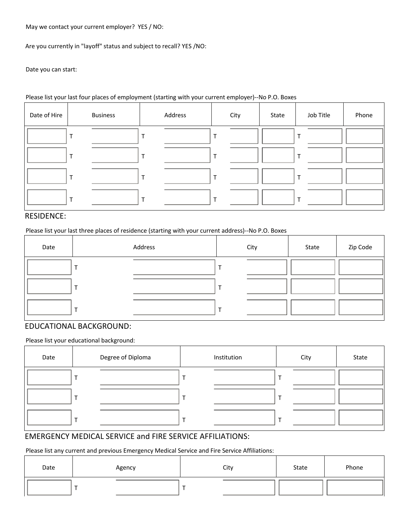May we contact your current employer? YES / NO:

Are you currently in "layoff" status and subject to recall? YES /NO:

Date you can start:

#### Please list your last four places of employment (starting with your current employer)--No P.O. Boxes

| Date of Hire | <b>Business</b> | Address | City | State | Job Title | Phone |
|--------------|-----------------|---------|------|-------|-----------|-------|
|              |                 |         |      |       |           |       |
|              |                 |         |      |       |           |       |
|              |                 |         |      |       |           |       |
|              |                 |         |      |       |           |       |

## RESIDENCE:

Please list your last three places of residence (starting with your current address)--No P.O. Boxes

| Date | Address | City | State | Zip Code |
|------|---------|------|-------|----------|
|      |         |      |       |          |
|      |         |      |       |          |
|      |         |      |       |          |

#### EDUCATIONAL BACKGROUND:

Please list your educational background:

| Date | Degree of Diploma | Institution | City | State |
|------|-------------------|-------------|------|-------|
|      |                   |             |      |       |
|      |                   |             |      |       |
|      |                   |             |      |       |

## EMERGENCY MEDICAL SERVICE and FIRE SERVICE AFFILIATIONS:

Please list any current and previous Emergency Medical Service and Fire Service Affiliations:

| Date | Agency | City | State | Phone |
|------|--------|------|-------|-------|
|      |        |      |       |       |